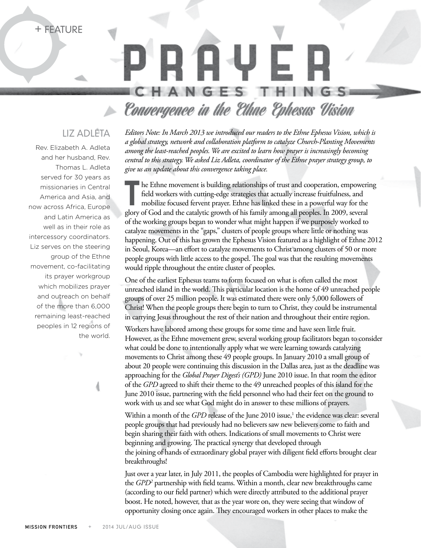+ Feature

## -N

## Convergence in the Ethne Ephesus Vision

## Liz Adleta

Rev. Elizabeth A. Adleta and her husband, Rev. Thomas L. Adleta served for 30 years as missionaries in Central America and Asia, and now across Africa, Europe and Latin America as well as in their role as intercessory coordinators. Liz serves on the steering group of the Ethne movement, co-facilitating its prayer workgroup which mobilizes prayer and outreach on behalf of the more than 6,000 remaining least-reached peoples in 12 regions of the world.

*Editors Note: In March 2013 we introduced our readers to the Ethne Ephesus Vision, which is a global strategy, network and collaboration platform to catalyze Church-Planting Movements among the least-reached peoples. We are excited to learn how prayer is increasingly becoming central to this strategy. We asked Liz Adleta, coordinator of the Ethne prayer strategy group, to give us an update about this convergence taking place.*

he Ethne movement is building relationships of trust and cooperation, empowering field workers with cutting-edge strategies that actually increase fruitfulness, and mobilize focused fervent prayer. Ethne has linked these in a powerful way for the glory of God and the catalytic growth of his family among all peoples. In 2009, several of the working groups began to wonder what might happen if we purposely worked to catalyze movements in the "gaps," clusters of people groups where little or nothing was happening. Out of this has grown the Ephesus Vision featured as a highlight of Ethne 2012 in Seoul, Korea—an effort to catalyze movements to Christ among clusters of 50 or more people groups with little access to the gospel. The goal was that the resulting movements would ripple throughout the entire cluster of peoples.

One of the earliest Ephesus teams to form focused on what is often called the most unreached island in the world. This particular location is the home of 49 unreached people groups of over 25 million people. It was estimated there were only 5,000 followers of Christ! When the people groups there begin to turn to Christ, they could be instrumental in carrying Jesus throughout the rest of their nation and throughout their entire region.

Workers have labored among these groups for some time and have seen little fruit. However, as the Ethne movement grew, several working group facilitators began to consider what could be done to intentionally apply what we were learning towards catalyzing movements to Christ among these 49 people groups. In January 2010 a small group of about 20 people were continuing this discussion in the Dallas area, just as the deadline was approaching for the *Global Prayer Digest's (GPD)* June 2010 issue. In that room the editor of the *GPD* agreed to shift their theme to the 49 unreached peoples of this island for the June 2010 issue, partnering with the field personnel who had their feet on the ground to work with us and see what God might do in answer to these millions of prayers.

Within a month of the *GPD* release of the June 2010 issue,<sup>1</sup> the evidence was clear: several people groups that had previously had no believers saw new believers come to faith and begin sharing their faith with others. Indications of small movements to Christ were beginning and growing. The practical synergy that developed through the joining of hands of extraordinary global prayer with diligent field efforts brought clear breakthroughs!

Just over a year later, in July 2011, the peoples of Cambodia were highlighted for prayer in the *GPD2* partnership with field teams. Within a month, clear new breakthroughs came (according to our field partner) which were directly attributed to the additional prayer boost. He noted, however, that as the year wore on, they were seeing that window of opportunity closing once again. They encouraged workers in other places to make the